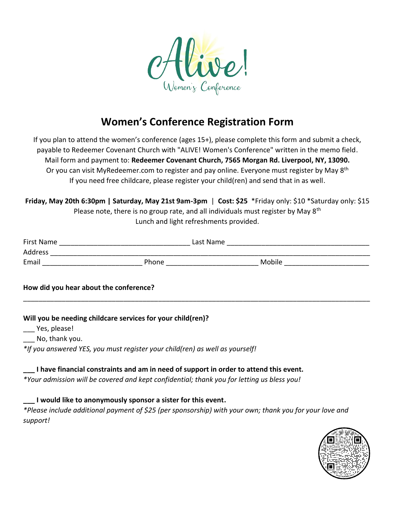

## **Women's Conference Registration Form**

If you plan to attend the women's conference (ages 15+), please complete this form and submit a check, payable to Redeemer Covenant Church with "ALIVE! Women's Conference" written in the memo field. Mail form and payment to: **Redeemer Covenant Church, 7565 Morgan Rd. Liverpool, NY, 13090.** Or you can visit MyRedeemer.com to register and pay online. Everyone must register by May 8<sup>th</sup> If you need free childcare, please register your child(ren) and send that in as well.

**Friday, May 20th 6:30pm | Saturday, May 21st 9am-3pm** | **Cost: \$25** \*Friday only: \$10 \*Saturday only: \$15 Please note, there is no group rate, and all individuals must register by May 8<sup>th</sup> Lunch and light refreshments provided.

| First Name | Last Name |        |  |  |
|------------|-----------|--------|--|--|
| Address    |           |        |  |  |
| Email      | Phone     | Mobile |  |  |

\_\_\_\_\_\_\_\_\_\_\_\_\_\_\_\_\_\_\_\_\_\_\_\_\_\_\_\_\_\_\_\_\_\_\_\_\_\_\_\_\_\_\_\_\_\_\_\_\_\_\_\_\_\_\_\_\_\_\_\_\_\_\_\_\_\_\_\_\_\_\_\_\_\_\_\_\_\_\_\_\_\_\_\_\_\_\_\_\_\_

## **How did you hear about the conference?**

**Will you be needing childcare services for your child(ren)?** 

\_\_\_ Yes, please!

\_\_\_ No, thank you.

*\*If you answered YES, you must register your child(ren) as well as yourself!*

**\_\_\_ I have financial constraints and am in need of support in order to attend this event.**

*\*Your admission will be covered and kept confidential; thank you for letting us bless you!*

**\_\_\_ I would like to anonymously sponsor a sister for this event.**

*\*Please include additional payment of \$25 (per sponsorship) with your own; thank you for your love and support!*